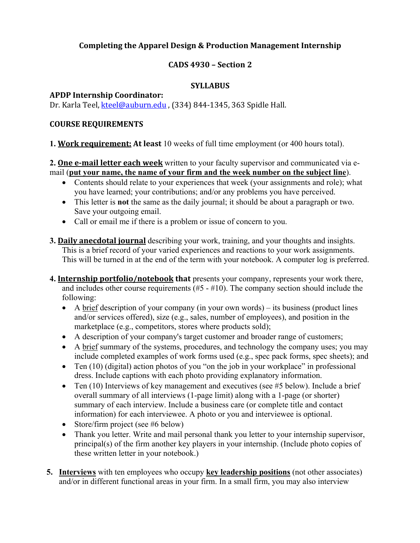## **Completing the Apparel Design & Production Management Internship**

## **CADS 4930 – Section 2**

## **SYLLABUS**

### **APDP Internship Coordinator:**

Dr. Karla Teel, <u>[kteel@auburn.edu](mailto:kteel@auburn.edu)</u> , (334) 844-1345, 363 Spidle Hall.

## **COURSE REQUIREMENTS**

## **1. Work requirement: At least** 10 weeks of full time employment (or 400 hours total).

**2. One e-mail letter each week** written to your faculty supervisor and communicated via email (**put your name, the name of your firm and the week number on the subject line**).

- • Contents should relate to your experiences that week (your assignments and role); what you have learned; your contributions; and/or any problems you have perceived.
- • This letter is **not** the same as the daily journal; it should be about a paragraph or two. Save your outgoing email.
- Call or email me if there is a problem or issue of concern to you.
- This will be turned in at the end of the term with your notebook. A computer log is preferred. **3. Daily anecdotal journal** describing your work, training, and your thoughts and insights. This is a brief record of your varied experiences and reactions to your work assignments.
- **4. Internship portfolio/notebook that** presents your company, represents your work there, and includes other course requirements (#5 - #10). The company section should include the following:
	- A  $brief description of your company (in your own words) its business (product lines)$ </u> and/or services offered), size (e.g., sales, number of employees), and position in the marketplace (e.g., competitors, stores where products sold);
	- A description of your company's target customer and broader range of customers;
	- A brief summary of the systems, procedures, and technology the company uses; you may include completed examples of work forms used (e.g., spec pack forms, spec sheets); and
	- Ten (10) (digital) action photos of you "on the job in your workplace" in professional dress. Include captions with each photo providing explanatory information.
	- Ten (10) Interviews of key management and executives (see #5 below). Include a brief overall summary of all interviews (1-page limit) along with a 1-page (or shorter) summary of each interview. Include a business care (or complete title and contact information) for each interviewee. A photo or you and interviewee is optional.
	- Store/firm project (see #6 below)
	- Thank you letter. Write and mail personal thank you letter to your internship supervisor, principal(s) of the firm another key players in your internship. (Include photo copies of these written letter in your notebook.)
- **5. Interviews** with ten employees who occupy **key leadership positions** (not other associates) and/or in different functional areas in your firm. In a small firm, you may also interview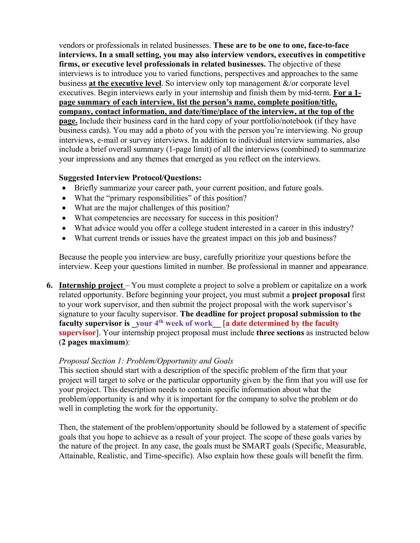vendors or professionals in related businesses. **These are to be one to one, face-to-face interviews. In a small setting, you may also interview vendors, executives in competitive firms, or executive level professionals in related businesses.** The objective of these interviews is to introduce you to varied functions, perspectives and approaches to the same business **at the executive level**. So interview only top management &/or corporate level executives. Begin interviews early in your internship and finish them by mid-term. **For a 1 page summary of each interview, list the person's name, complete position/title, company, contact information, and date/time/place of the interview, at the top of the page.** Include their business card in the hard copy of your portfolio/notebook (if they have business cards). You may add a photo of you with the person you're interviewing. No group interviews, e-mail or survey interviews. In addition to individual interview summaries, also include a brief overall summary (1-page limit) of all the interviews (combined) to summarize your impressions and any themes that emerged as you reflect on the interviews.

#### **Suggested Interview Protocol/Questions:**

- Briefly summarize your career path, your current position, and future goals.
- What the "primary responsibilities" of this position?
- What are the major challenges of this position?
- What competencies are necessary for success in this position?
- What advice would you offer a college student interested in a career in this industry?
- What current trends or issues have the greatest impact on this job and business?

Because the people you interview are busy, carefully prioritize your questions before the interview. Keep your questions limited in number. Be professional in manner and appearance.

**6.** Internship project – You must complete a project to solve a problem or capitalize on a work related opportunity. Before beginning your project, you must submit a **project proposal** first faculty supervisor is \_your 4<sup>th</sup> week of work\_\_ [a date determined by the faculty to your work supervisor, and then submit the project proposal with the work supervisor's signature to your faculty supervisor. **The deadline for project proposal submission to the supervisor**]. Your internship project proposal must include **three sections** as instructed below (**2 pages maximum**):

#### *Proposal Section 1: Problem/Opportunity and Goals*

This section should start with a description of the specific problem of the firm that your project will target to solve or the particular opportunity given by the firm that you will use for your project. This description needs to contain specific information about what the problem/opportunity is and why it is important for the company to solve the problem or do well in completing the work for the opportunity.

Then, the statement of the problem/opportunity should be followed by a statement of specific goals that you hope to achieve as a result of your project. The scope of these goals varies by the nature of the project. In any case, the goals must be SMART goals (Specific, Measurable, Attainable, Realistic, and Time-specific). Also explain how these goals will benefit the firm.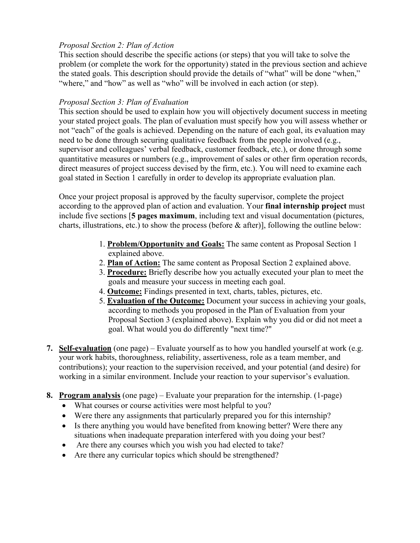## *Proposal Section 2: Plan of Action*

This section should describe the specific actions (or steps) that you will take to solve the problem (or complete the work for the opportunity) stated in the previous section and achieve the stated goals. This description should provide the details of "what" will be done "when," "where," and "how" as well as "who" will be involved in each action (or step).

## *Proposal Section 3: Plan of Evaluation*

This section should be used to explain how you will objectively document success in meeting your stated project goals. The plan of evaluation must specify how you will assess whether or not "each" of the goals is achieved. Depending on the nature of each goal, its evaluation may need to be done through securing qualitative feedback from the people involved (e.g., supervisor and colleagues' verbal feedback, customer feedback, etc.), or done through some quantitative measures or numbers (e.g., improvement of sales or other firm operation records, direct measures of project success devised by the firm, etc.). You will need to examine each goal stated in Section 1 carefully in order to develop its appropriate evaluation plan.

 according to the approved plan of action and evaluation. Your **final internship project** must Once your project proposal is approved by the faculty supervisor, complete the project include five sections [**5 pages maximum**, including text and visual documentation (pictures, charts, illustrations, etc.) to show the process (before & after)], following the outline below:

- 1. **Problem/Opportunity and Goals:** The same content as Proposal Section 1 explained above.
- 2. **Plan of Action:** The same content as Proposal Section 2 explained above.
- 3. **Procedure:** Briefly describe how you actually executed your plan to meet the goals and measure your success in meeting each goal.
- 4. **Outcome:** Findings presented in text, charts, tables, pictures, etc.
- 5. **Evaluation of the Outcome:** Document your success in achieving your goals, according to methods you proposed in the Plan of Evaluation from your Proposal Section 3 (explained above). Explain why you did or did not meet a goal. What would you do differently "next time?"
- **7. Self-evaluation** (one page) Evaluate yourself as to how you handled yourself at work (e.g. working in a similar environment. Include your reaction to your supervisor's evaluation. your work habits, thoroughness, reliability, assertiveness, role as a team member, and contributions); your reaction to the supervision received, and your potential (and desire) for
- **8. Program analysis** (one page) Evaluate your preparation for the internship. (1-page)
	- What courses or course activities were most helpful to you?
	- Were there any assignments that particularly prepared you for this internship?
	- Is there anything you would have benefited from knowing better? Were there any situations when inadequate preparation interfered with you doing your best?
	- Are there any courses which you wish you had elected to take?
	- Are there any curricular topics which should be strengthened?